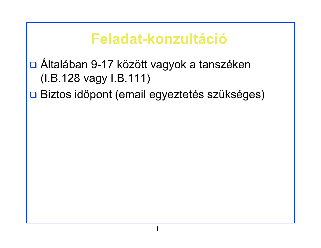### **Feladat-konzultáció**

### **□ Általában 9-17 között vagyok a tanszéken** (I.B.128 vagy I.B.111)

**□ Biztos időpont (email egyeztetés szükséges)**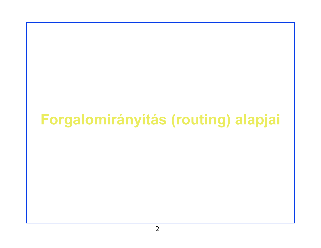# **Forgalomirányítás (routing) alapjai**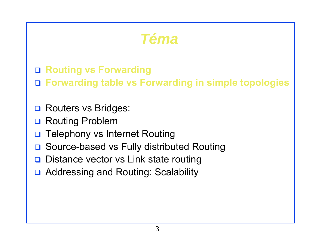### *Téma*

#### **Routing vs Forwarding**

**Forwarding table vs Forwarding in simple topologies**

- **Q** Routers vs Bridges:
- **□ Routing Problem**
- $\Box$ Telephony vs Internet Routing
- **□ Source-based vs Fully distributed Routing**
- Distance vector vs Link state routing
- □ Addressing and Routing: Scalability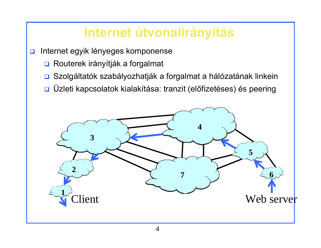### **Internet útvonalirányítás**

- $\Box$  Internet egyik lényeges komponense
	- **□ Routerek irányítják a forgalmat**
	- $\Box$ Szolgáltatók szabályozhatják a forgalmat a hálózatának linkein
	- □ Üzleti kapcsolatok kialakítása: tranzit (előfizetéses) és peering

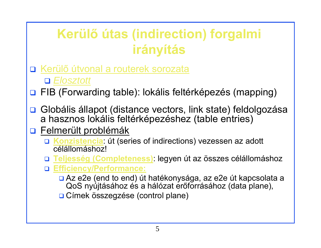### **Kerülő útas (indirection) forgalmi irányítás**

- Kerülő útvonal a routerek sorozata
	- *Elosztott*
- □ FIB (Forwarding table): lokális feltérképezés (mapping)
- $\Box$  Globális állapot (distance vectors, link state) feldolgozása a hasznos lokális feltérképezéshez (table entries)
- **D** Felmerült problémák
	- **Konzistencia**: út (series of indirections) vezessen az adott célállomáshoz!
	- $\Box$ **Teljesség (Completeness)**: legyen út az összes célállomáshoz
	- $\Box$  **Efficiency/Performance:**
		- **□ Az e2e (end to end) út hatékonysága, az e2e út kapcsolata a** QoS nyújtásához és a hálózat erőforrásához (data plane),
		- **□ Címek összegzése (control plane)**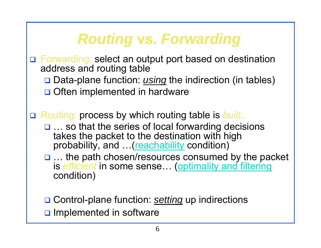## *Routing* **vs.** *Forwarding*

- □ Forwarding: select an output port based on destination address and routing table
	- □ Data-plane function: *using* the indirection (in tables)
	- Often implemented in hardware

Routing: process by which routing table is *built..*

- ... so that the series of local forwarding decisions takes the packet to the destination with high probability, and …(reachability condition)
- **□** ... the path chosen/resources consumed by the packet is *efficient* in some sense... (optimality and filtering condition)
- Control-plane function: *setting* up indirections
- **Implemented in software**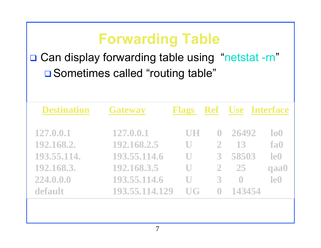### **Forwarding Table**

### □ Can display forwarding table using "netstat -rn" □ Sometimes called "routing table"

| <b>Destination</b> | <b>Gateway</b> | <b>Flags</b> | <b>Ref</b> | <b>Use Interface</b> |                 |
|--------------------|----------------|--------------|------------|----------------------|-----------------|
|                    |                |              |            |                      |                 |
| 127.0.0.1          | 127.0.0.1      | UH           | $\bigcup$  | 26492                | lo0             |
| 192.168.2.         | 192.168.2.5    | $\Box$       |            | 13                   | fa0             |
| 193.55.114.        | 193.55.114.6   | $\Box$       | 3          | 58503                | le <sub>0</sub> |
| 192.168.3.         | 192.168.3.5    | $\Box$       |            | 25                   | qaa0            |
| 224.0.0.0          | 193.55.114.6   |              | 3          | $\bigoplus$          | le <sub>0</sub> |
| default            | 193.55.114.129 | UG           |            | 143454               |                 |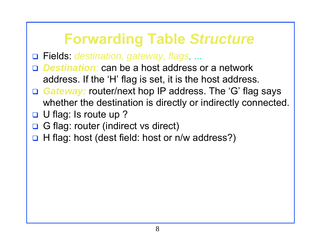### **Forwarding Table** *Structure*

- Fields: *destination, gateway, flags, ...*
- *Destination*: can be a host address or a network address. If the 'H' flag is set, it is the host address.
- □ **Gateway:** router/next hop IP address. The 'G' flag says whether the destination is directly or indirectly connected.
- **□** U flag: Is route up ?
- $\Box$ G flag: router (indirect vs direct)
- $\Box$ H flag: host (dest field: host or n/w address?)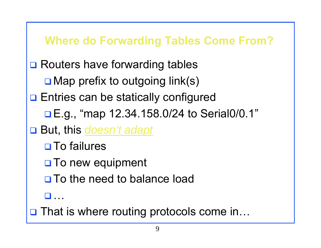### **Where do Forwarding Tables Come From?**

**Q** Routers have forwarding tables

- **□** Map prefix to outgoing link(s)
- **Q** Entries can be statically configured
	- E.g., "map 12.34.158.0/24 to Serial0/0.1"
- But, this *doesn't adapt*
	- **□** To failures
	- **O**To new equipment
	- **O** To the need to balance load

**n** 

**□ That is where routing protocols come in...**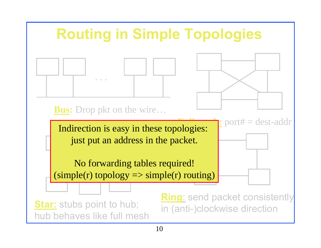

10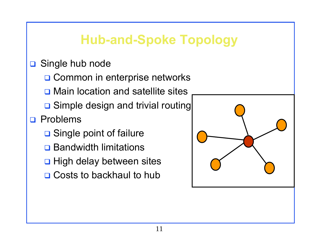### **Hub-and-Spoke Topology**

#### $\Box$ Single hub node

- **□ Common in enterprise networks**
- **D** Main location and satellite sites
- **□ Simple design and trivial routing**

#### □ Problems

- **□** Single point of failure
- **Q** Bandwidth limitations
- **Q** High delay between sites
- **Q** Costs to backhaul to hub

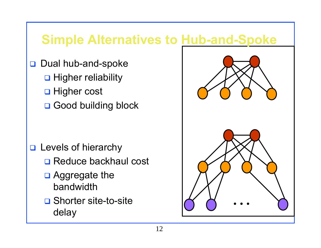### **Simple Alternatives to Hub-and-Spoke**

- $\Box$  Dual hub-and-spoke
	- **Q** Higher reliability
	- **□** Higher cost
	- Good building block

- **Q** Levels of hierarchy
	- **Reduce backhaul cost**
	- **Q** Aggregate the bandwidth
	- **O** Shorter site-to-site delay

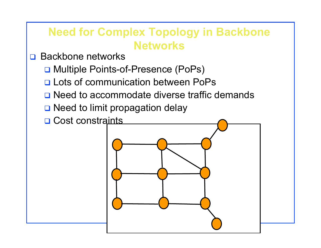### **Need for Complex Topology in Backbone Networks**

- $\Box$  Backbone networks
	- □ Multiple Points-of-Presence (PoPs)
	- **Q** Lots of communication between PoPs
	- **O** Need to accommodate diverse traffic demands
	- □ Need to limit propagation delay
	- **Q** Cost constraints

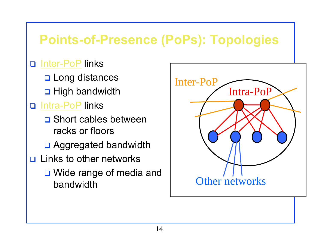### **Points-of-Presence (PoPs): Topologies**

#### Inter-PoP links

- **Q** Long distances
- **□ High bandwidth**
- Intra-PoP links
	- **O** Short cables between racks or floors
	- □ Aggregated bandwidth
- **<u>n</u>** Links to other networks
	- **□** Wide range of media and bandwidth

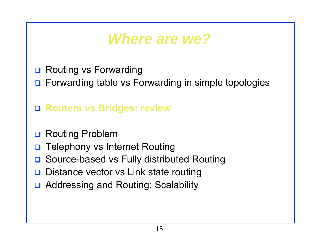### *Where are we?*

- **□ Routing vs Forwarding**
- □ Forwarding table vs Forwarding in simple topologies

#### **Routers vs Bridges: review**

- **□ Routing Problem**
- $\Box$ Telephony vs Internet Routing
- **□ Source-based vs Fully distributed Routing**
- **□ Distance vector vs Link state routing**
- **□ Addressing and Routing: Scalability**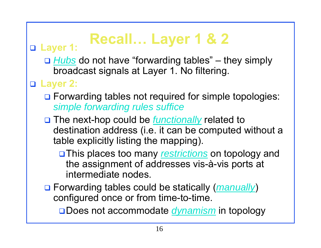# **Recall… Layer 1 & 2**

- **Layer 1:** 
	- *Hubs* do not have "forwarding tables" they simply broadcast signals at Layer 1. No filtering.

#### **Layer 2:**

- □ Forwarding tables not required for simple topologies: *simple forwarding rules suffice*
- The next-hop could be *functionally* related to destination address (i.e. it can be computed without a table explicitly listing the mapping).
	- This places too many *restrictions* on topology and the assignment of addresses vis-à-vis ports at intermediate nodes.
- Forwarding tables could be statically (*manually*) configured once or from time-to-time.

Does not accommodate *dynamism* in topology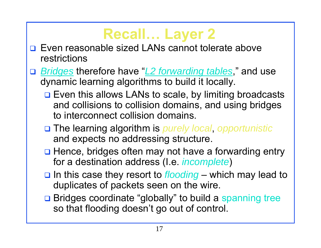### **Recall… Layer 2**

- **□ Even reasonable sized LANs cannot tolerate above** restrictions
- *Bridges* therefore have "*L2 forwarding tables*," and use dynamic learning algorithms to build it locally.
	- **□** Even this allows LANs to scale, by limiting broadcasts and collisions to collision domains, and using bridges to interconnect collision domains.
	- The learning algorithm is *purely local*, *opportunistic*  and expects no addressing structure.
	- **Q** Hence, bridges often may not have a forwarding entry for a destination address (I.e. *incomplete*)
	- **□** In this case they resort to *flooding* which may lead to duplicates of packets seen on the wire.
	- □ Bridges coordinate "globally" to build a spanning tree so that flooding doesn't go out of control.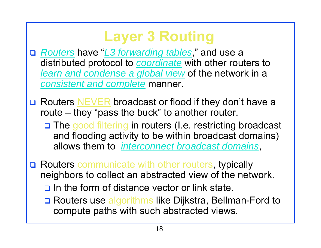# **Layer 3 Routing**

- *Routers* have "*L3 forwarding tables*," and use a distributed protocol to *coordinate* with other routers to *learn and condense a global view* of the network in a *consistent and complete* manner.
- **□ Routers NEVER broadcast or flood if they don't have a** route – they "pass the buck" to another router.
	- □ The good filtering in routers (I.e. restricting broadcast and flooding activity to be within broadcast domains) allows them to *interconnect broadcast domains*,
- **□ Routers communicate with other routers, typically** neighbors to collect an abstracted view of the network.
	- $\Box$  In the form of distance vector or link state.
	- □ Routers use algorithms like Dijkstra, Bellman-Ford to compute paths with such abstracted views.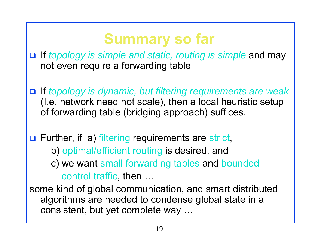# **Summary so far**

- If *topology is simple and static, routing is simple* and may not even require a forwarding table
- If *topology is dynamic, but filtering requirements are weak* (I.e. network need not scale), then a local heuristic setup of forwarding table (bridging approach) suffices.
- **Q** Further, if a) filtering requirements are strict, b) optimal/efficient routing is desired, and c) we want small forwarding tables and bounded control traffic, then …
- some kind of global communication, and smart distributed algorithms are needed to condense global state in a consistent, but yet complete way …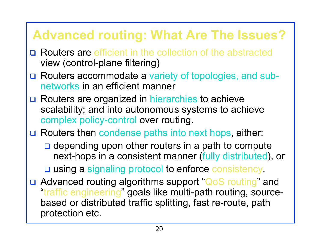### **Advanced routing: What Are The Issues?**

- □ Routers are efficient in the collection of the abstracted view (control-plane filtering)
- □ Routers accommodate a variety of topologies, and subnetworks in an efficient manner
- **□ Routers are organized in hierarchies to achieve** scalability; and into autonomous systems to achieve complex policy-control over routing.
- **□ Routers then condense paths into next hops, either:** 
	- $\Box$  depending upon other routers in a path to compute next-hops in a consistent manner (fully distributed), or

□ using a signaling protocol to enforce consistency.

**□ Advanced routing algorithms support "QoS routing" and** "traffic engineering" goals like multi-path routing, sourcebased or distributed traffic splitting, fast re-route, path protection etc.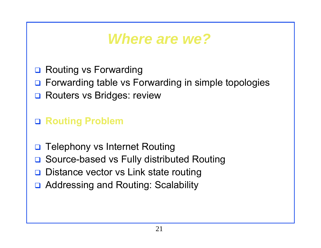### *Where are we?*

- **□ Routing vs Forwarding**
- □ Forwarding table vs Forwarding in simple topologies
- **Q** Routers vs Bridges: review

#### **Routing Problem**

- $\Box$ Telephony vs Internet Routing
- **□ Source-based vs Fully distributed Routing**
- **□ Distance vector vs Link state routing**
- **□ Addressing and Routing: Scalability**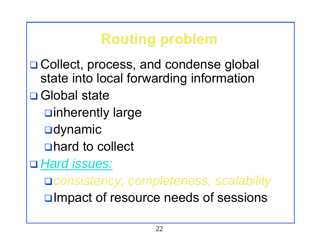# **Routing problem**

- □ Collect, process, and condense global state into local forwarding information
- **□** Global state
	- **Dinherently large**
	- **O**dynamic
	- □hard to collect
- *Hard issues:*

*consistency, completeness, scalability* **□**Impact of resource needs of sessions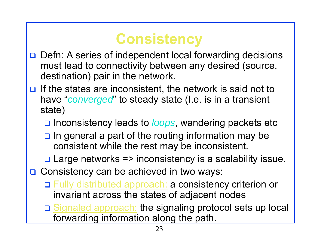# **Consistency**

- **□** Defn: A series of independent local forwarding decisions must lead to connectivity between any desired (source, destination) pair in the network.
- $\Box$  If the states are inconsistent, the network is said not to have "*converged*" to steady state (I.e. is in a transient state)
	- **□ Inconsistency leads to** *loops*, wandering packets etc
	- $\Box$  In general a part of the routing information may be consistent while the rest may be inconsistent.
	- **□ Large networks => inconsistency is a scalability issue.**
- **□ Consistency can be achieved in two ways:** 
	- □ Fully distributed approach: a consistency criterion or invariant across the states of adjacent nodes
	- □ Signaled approach: the signaling protocol sets up local forwarding information along the path.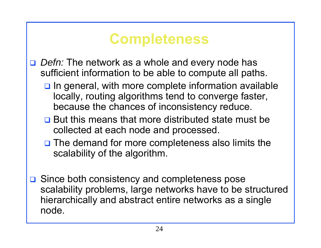### **Completeness**

- *Defn:* The network as a whole and every node has sufficient information to be able to compute all paths.
	- $\Box$  In general, with more complete information available locally, routing algorithms tend to converge faster, because the chances of inconsistency reduce.
	- **Q** But this means that more distributed state must be collected at each node and processed.
	- **□** The demand for more completeness also limits the scalability of the algorithm.
- **□** Since both consistency and completeness pose scalability problems, large networks have to be structured hierarchically and abstract entire networks as a single node.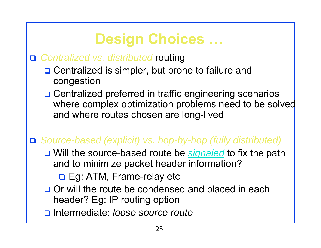## **Design Choices …**

#### *Centralized vs. distributed* routing

- **□ Centralized is simpler, but prone to failure and** congestion
- **□ Centralized preferred in traffic engineering scenarios** where complex optimization problems need to be solved and where routes chosen are long-lived

#### *Source-based (explicit) vs. hop-by-hop (fully distributed)*

□ Will the source-based route be *signaled* to fix the path and to minimize packet header information?

**□ Eg: ATM, Frame-relay etc** 

- Or will the route be condensed and placed in each header? Eg: IP routing option
- Intermediate: *loose source route*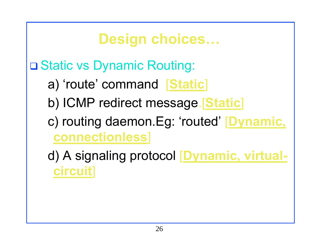## **Design choices…**

### Static vs Dynamic Routing:

- a) 'route' command [**Static**]
- b) ICMP redirect message.[**Static**]
- c) routing daemon.Eg: 'routed' [**Dynamic, connectionless**]

### d) A signaling protocol [**Dynamic, virtualcircuit**]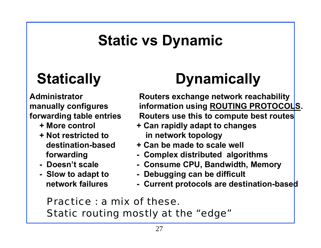# **Static vs Dynamic**

**Administrator manually configures forwarding table entries** 

- **+ More control**
- **+ Not restricted to destination-based forwarding**
- **- Doesn't scale**
- **- Slow to adapt to network failures**

# **Statically Dynamically**

**Routers exchange network reachability information using ROUTING PROTOCOLS. Routers use this to compute best routes**

- **+ Can rapidly adapt to changes in network topology**
- **+ Can be made to scale well**
- **- Complex distributed algorithms**
- **- Consume CPU, Bandwidth, Memory**
- **- Debugging can be difficult**
- **- Current protocols are destination-based**

Practice : a mix of these. Static routing mostly at the "edge"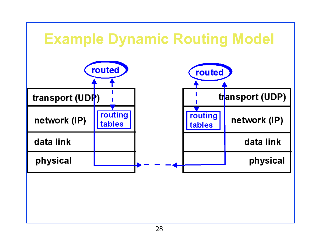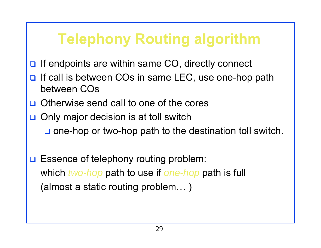# **Telephony Routing algorithm**

- $\Box$ If endpoints are within same CO, directly connect
- $\Box$  If call is between COs in same LEC, use one-hop path between COs
- **Q** Otherwise send call to one of the cores
- Only major decision is at toll switch
	- $\Box$  one-hop or two-hop path to the destination toll switch.
- **Essence of telephony routing problem:** which *two-hop* path to use if *one-hop* path is full (almost a static routing problem… )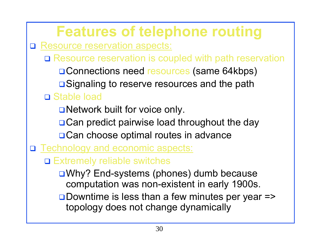**Features of telephone routing** □ Resource reservation aspects: □ Resource reservation is coupled with path reservation **□Connections need resources (same 64kbps) □** Signaling to reserve resources and the path Stable load □ Network built for voice only. **□ Can predict pairwise load throughout the day □ Can choose optimal routes in advance** □ Technology and economic aspects: Extremely reliable switches Why? End-systems (phones) dumb because computation was non-existent in early 1900s. **□Downtime is less than a few minutes per year =>** topology does not change dynamically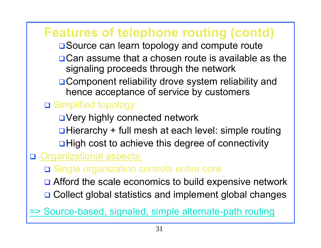### **Features of telephone routing (contd)**

- **□** Source can learn topology and compute route
- **OCan assume that a chosen route is available as the** signaling proceeds through the network
- □ Component reliability drove system reliability and hence acceptance of service by customers
- □ Simplified topology:

□ Very highly connected network **□Hierarchy + full mesh at each level: simple routing**  $\Box$  High cost to achieve this degree of connectivity

- □ Organizational aspects:
	- □ Single organization controls entire core
	- **Q** Afford the scale economics to build expensive network **□ Collect global statistics and implement global changes**

=> Source-based, signaled, simple alternate-path routing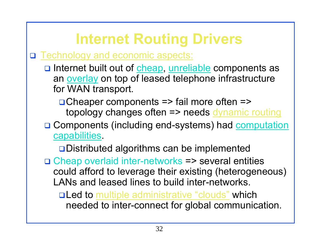# **Internet Routing Drivers**

#### □ Technology and economic aspects:

- nternet built out of cheap, unreliable components as an overlay on top of leased telephone infrastructure for WAN transport.
	- □ Cheaper components => fail more often => topology changes often => needs dynamic routing
- □ Components (including end-systems) had **computation** capabilities.

**□** Distributed algorithms can be implemented

 Cheap overlaid inter-networks => several entities could afford to leverage their existing (heterogeneous) LANs and leased lines to build inter-networks.

Led to multiple administrative "clouds" which needed to inter-connect for global communication.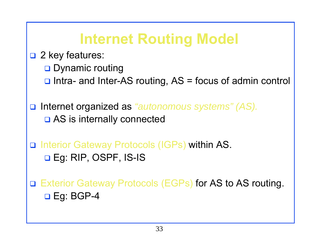## **Internet Routing Model**

**□** 2 key features:

- **□** Dynamic routing
- **□** Intra- and Inter-AS routing, AS = focus of admin control
- $\Box$  Internet organized as *"autonomous systems" (AS).* **Q AS is internally connected**
- □ Interior Gateway Protocols (IGPs) within AS. **□** Eg: RIP, OSPF, IS-IS

□ Exterior Gateway Protocols (EGPs) for AS to AS routing. **□** Eg: BGP-4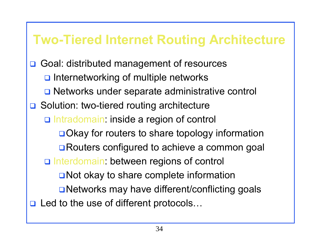### **Two-Tiered Internet Routing Architecture**

 $\Box$  Goal: distributed management of resources nternetworking of multiple networks □ Networks under separate administrative control **□ Solution: two-tiered routing architecture** □ Intradomain: inside a region of control **□ Okay for routers to share topology information □** Routers configured to achieve a common goal □ Interdomain: between regions of control **□** Not okay to share complete information □ Networks may have different/conflicting goals Led to the use of different protocols...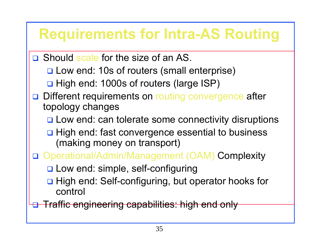# **Requirements for Intra-AS Routing**

- **Q** Should scale for the size of an AS.
	- **□ Low end: 10s of routers (small enterprise)**
	- □ High end: 1000s of routers (large ISP)
- □ Different requirements on routing convergence after topology changes
	- **Q** Low end: can tolerate some connectivity disruptions
	- **□ High end: fast convergence essential to business** (making money on transport)
- Operational/Admin/Management (OAM) Complexity
	- **Q** Low end: simple, self-configuring
	- **□ High end: Self-configuring, but operator hooks for** control
- <del>a Traffic engineering capabilities: high end only</del>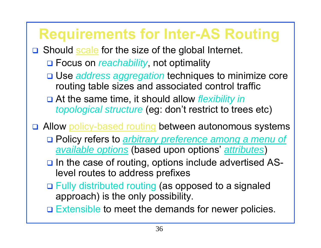# **Requirements for Inter-AS Routing**

- **□** Should scale for the size of the global Internet.
	- Focus on *reachability*, not optimality
	- Use *address aggregation* techniques to minimize core routing table sizes and associated control traffic
	- At the same time, it should allow *flexibility in topological structure* (eg: don't restrict to trees etc)

#### □ Allow policy-based routing between autonomous systems

- Policy refers to *arbitrary preference among a menu of available options* (based upon options' *attributes*)
- **□** In the case of routing, options include advertised ASlevel routes to address prefixes
- □ Fully distributed routing (as opposed to a signaled approach) is the only possibility.
- □ Extensible to meet the demands for newer policies.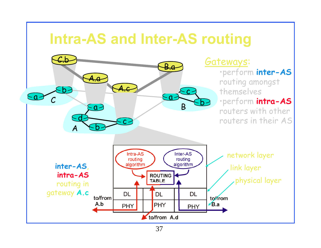### **Intra-AS and Inter-AS routing**



<sup>37</sup>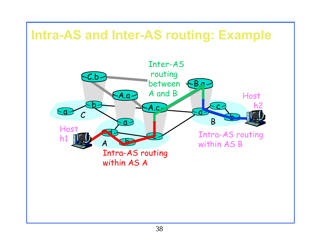